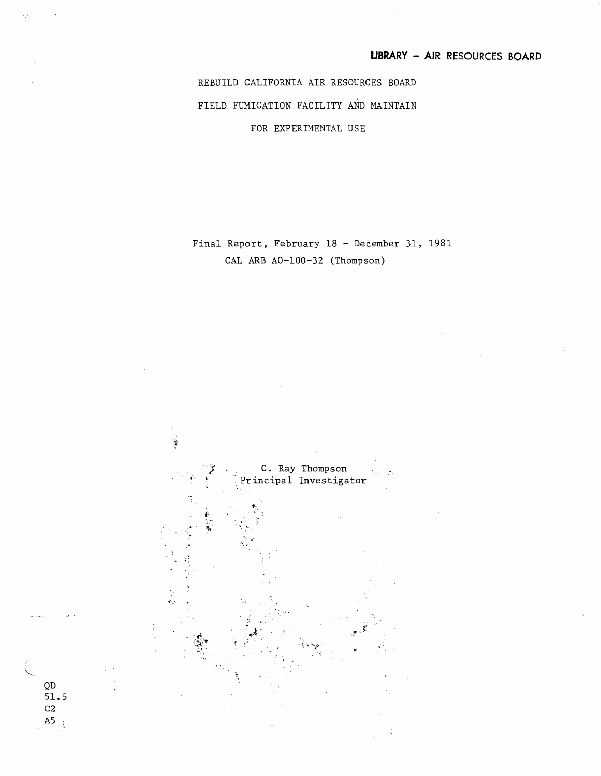REBUILD CALIFORNIA AIR RESOURCES BOARD FIELD FUMIGATION FACILITY AND MAINTAIN FOR EXPERIMENTAL USE

Final Report, February 18 - December 31, 1981 CAL ARB A0-100-32 (Thompson)



QD

51.5

C2 A5 $\frac{1}{2}$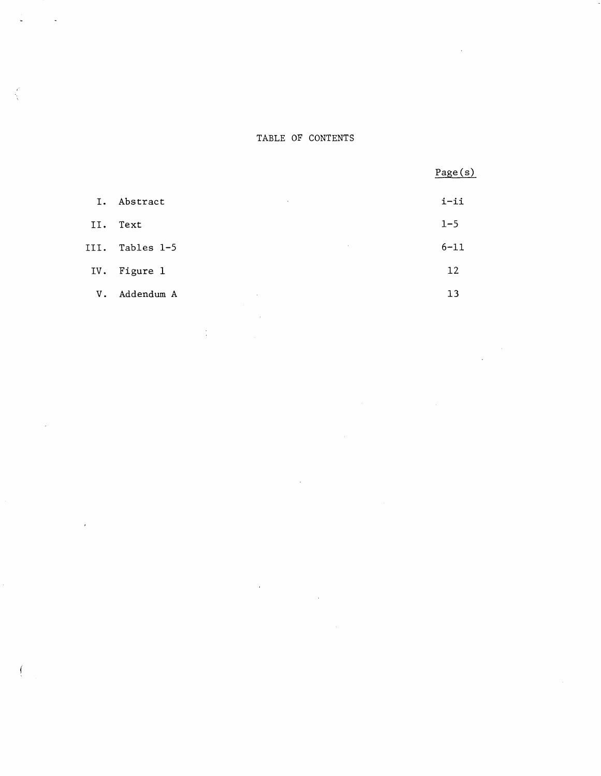## TABLE OF CONTENTS

Page(s)

| Ι.   | Abstract<br>$\bullet$ | i-ii     |
|------|-----------------------|----------|
| II.  | Text                  | $1 - 5$  |
| III. | Tables 1-5<br>$\sim$  | $6 - 11$ |
| IV.  | Figure 1              | 12       |
| V.   | Addendum A<br>$\sim$  | 13       |
|      |                       |          |

 $\sim 1$ 

 $\hat{\boldsymbol{\beta}}$ 

 $\frac{1}{2}$  ,  $\frac{1}{2}$ 

 $\frac{1}{\sqrt{2}}$ 

 $\frac{1}{2}$ 

 $\mathcal{L}_{\mathcal{A}}$ 

 $\int$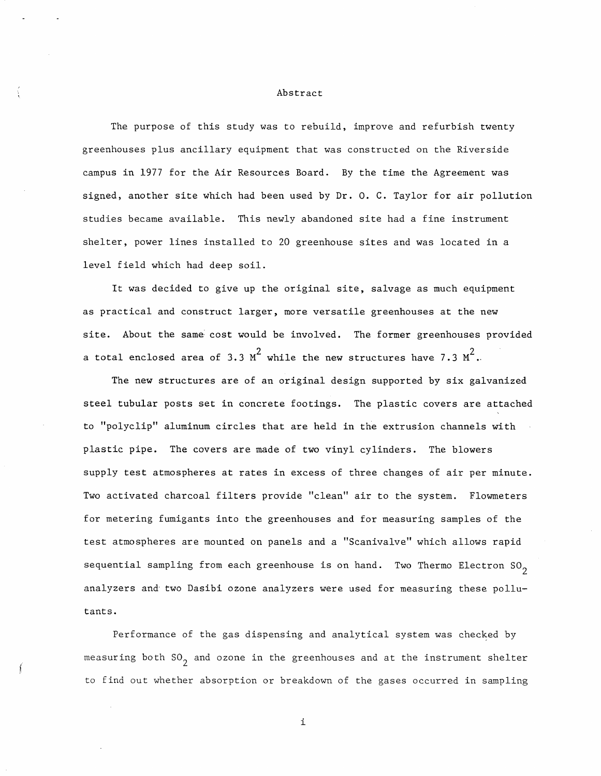#### Abstract

The purpose of this study was to rebuild, improve and refurbish twenty greenhouses plus ancillary equipment that was constructed on the Riverside campus in 1977 for the Air Resources Board. By the time the Agreement was signed, another site which had been used by Dr. 0. C. Taylor for air pollution studies became available. This newly abandoned site had a fine instrument shelter, power lines installed to 20 greenhouse sites and was located in a level field which had deep soil.

It was decided to give up the original site, salvage as much equipment as practical and construct larger, more versatile greenhouses at the new site. About the same cost would be involved. The former greenhouses provided a total enclosed area of 3.3  $\texttt{M}^2$  while the new structures have 7.3  $\texttt{M}^2$ .

The new structures are of an original design supported by six galvanized steel tubular posts set in concrete footings. The plastic covers are attached to "polyclip" aluminum circles that are held in the extrusion channels with plastic pipe. The covers are made of two vinyl cylinders. The blowers supply test atmospheres at rates in excess of three changes of air per minute. Two activated charcoal filters provide "clean" air to the system. Flowmeters for metering fumigants into the greenhouses and for measuring samples of the test atmospheres are mounted on panels and a "Scanivalve" which allows rapid sequential sampling from each greenhouse is on hand. Two Thermo Electron  $SO_2$ analyzers and two Dasibi ozone analyzers were used for measuring these pollutants.

Performance of the gas dispensing and analytical system was checked by measuring both  $SO_2$  and ozone in the greenhouses and at the instrument shelter to find out whether absorption or breakdown of the gases occurred in sampling

i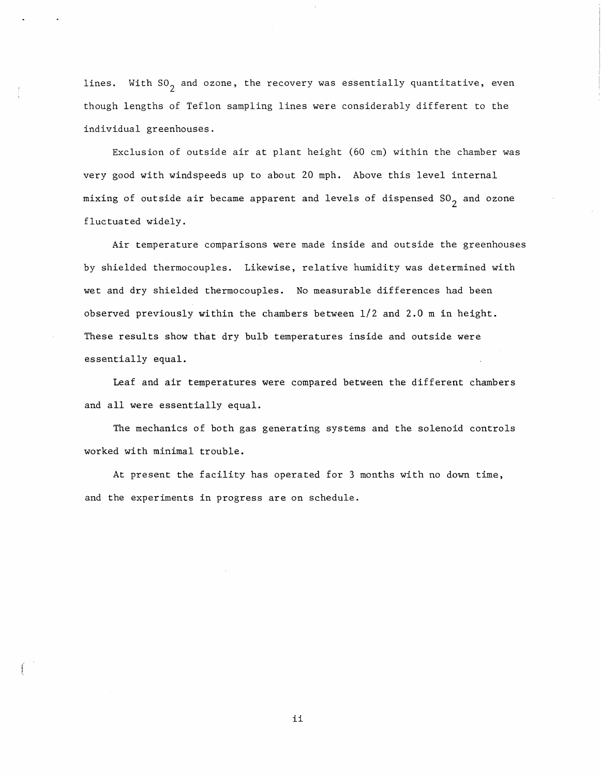lines. With  $SO_2$  and ozone, the recovery was essentially quantitative, even though lengths of Teflon sampling lines were considerably different to the individual greenhouses.

Exclusion of outside air at plant height (60 cm) within the chamber was very good with windspeeds up to about 20 mph. Above this level internal mixing of outside air became apparent and levels of dispensed  $SO_2$  and ozone fluctuated widely.

Air temperature comparisons were made inside and outside the greenhouses by shielded thermocouples. Likewise, relative humidity was determined with wet and dry shielded thermocouples. No measurable differences had been observed previously within the chambers between  $1/2$  and  $2.0$  m in height. These results show that dry bulb temperatures inside and outside were essentially equal.

Leaf and air temperatures were compared between the different chambers and all were essentially equal.

The mechanics of both gas generating systems and the solenoid controls worked with minimal trouble.

At present the facility has operated for 3 months with no down time, and the experiments in progress are on schedule.

ii

*I*  i. (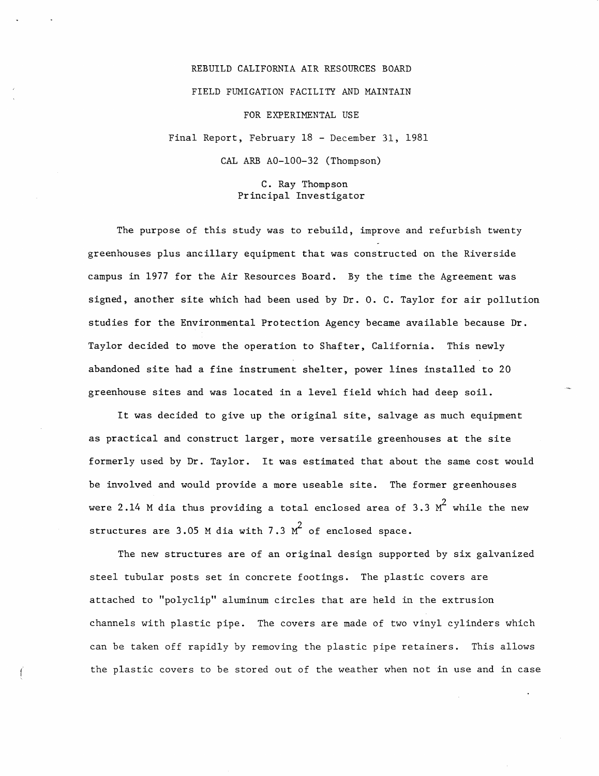# REBUILD CALIFORNIA AIR RESOURCES BOARD FIELD FUMIGATION FACILITY AND MAINTAIN FOR EXPERIMENTAL USE Final Report, February 18 - December 31, 1981

CAL ARB A0-100-32 (Thompson)

### C. Ray Thompson Principal Investigator

The purpose of this study was to rebuild, improve and refurbish twenty greenhouses plus ancillary equipment that was constructed on the Riverside campus in 1977 for the Air Resources Board. By the time the Agreement was signed, another site which had been used by Dr. O. C. Taylor for air pollution studies for the Environmental Protection Agency became available because Dr. Taylor decided to move the operation to Shafter, California. This newly abandoned site had a fine instrument shelter, power lines installed to 20 greenhouse sites and was located in a level field which had deep soil.

It was decided to give up the original site, salvage as much equipment as practical and construct larger, more versatile greenhouses at the site formerly used by Dr. Taylor. It was estimated that about the same cost would be involved and would provide a more useable site. The former greenhouses were 2.14 M dia thus providing a total enclosed area of 3.3  $M^2$  while the new structures are 3.05 M dia with 7.3  $\mu^2$  of enclosed space.

The new structures are of an original design supported by six galvanized steel tubular posts set in concrete footings. The plastic covers are attached to "polyclip" aluminum circles that are held in the extrusion channels with plastic pipe. The covers are made of two vinyl cylinders which can be taken off rapidly by removing the plastic pipe retainers. This allows the plastic covers to be stored out of the weather when not in use and in case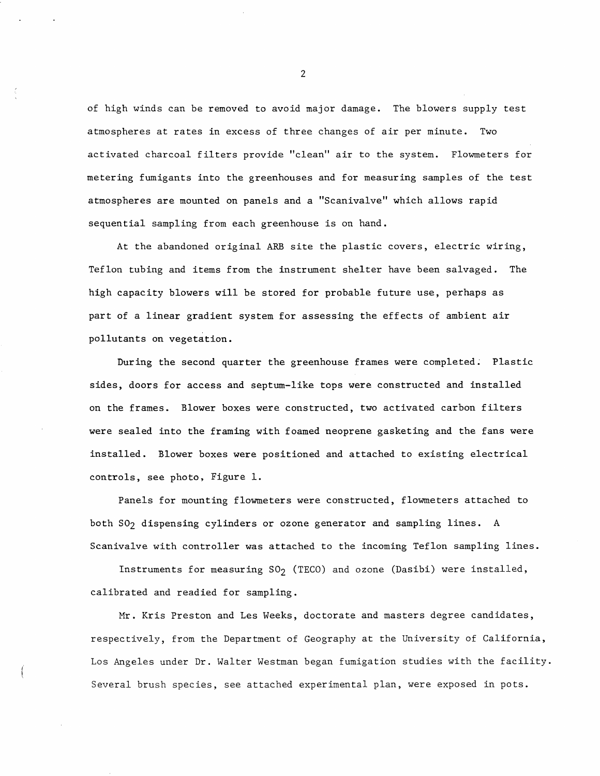of high winds can be removed to avoid major damage. The blowers supply test atmospheres at rates in excess of three changes of air per minute. Two activated charcoal filters provide "clean" air to the system. Flowmeters for metering fumigants into the greenhouses and for measuring samples of the test atmospheres are mounted on panels and a "Scanivalve" which allows rapid sequential sampling from each greenhouse is on hand.

At the abandoned original ARB site the plastic covers, electric wiring, Teflon tubing and items from the instrument shelter have been salvaged. The high capacity blowers will be stored for probable future use, perhaps as part of a linear gradient system for assessing the effects of ambient air pollutants on vegetation.

During the second quarter the greenhouse frames were completed. Plastic sides, doors for access and septum-like tops were constructed and installed on the frames. Blower boxes were constructed, two activated carbon filters were sealed into the framing with foamed neoprene gasketing and the fans were installed. Blower boxes were positioned and attached to existing electrical controls, see photo, Figure 1.

Panels for mounting flowmeters were constructed, flowmeters attached to both SO<sub>2</sub> dispensing cylinders or ozone generator and sampling lines. A Scanivalve with controller was attached to the incoming Teflon sampling lines.

Instruments for measuring  $SO_2$  (TECO) and ozone (Dasibi) were installed, calibrated and readied for sampling.

Mr. Kris Preston and Les Weeks, doctorate and masters degree candidates, respectively, from the Department of Geography at the University of California, Los Angeles under Dr. Walter Westman began fumigation studies with the facility. Several brush species, see attached experimental plan, were exposed in pots.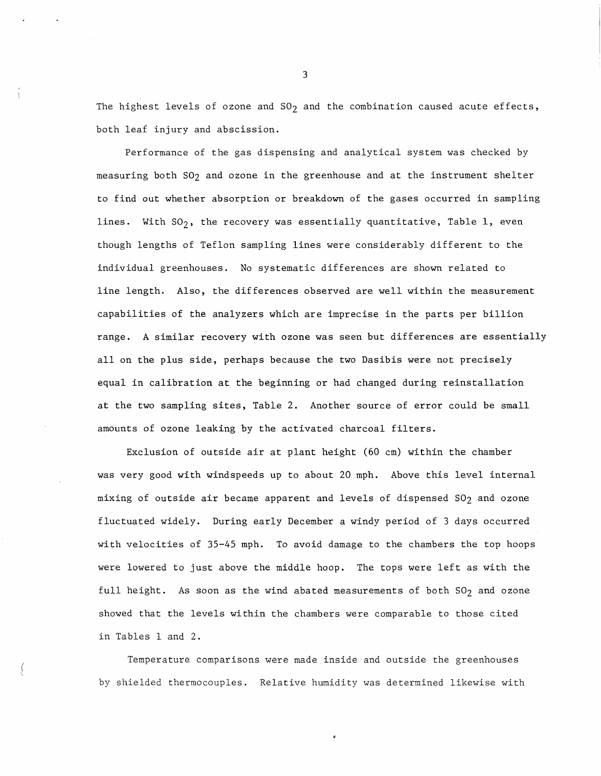The highest levels of ozone and  $SO_2$  and the combination caused acute effects, both leaf injury and abscission.

Performance of the gas dispensing and analytical system was checked by measuring both S02 and ozone in the greenhouse and at the instrument shelter to find out whether absorption or breakdown of the gases occurred in sampling lines. With  $SO_2$ , the recovery was essentially quantitative, Table 1, even though lengths of Teflon sampling lines were considerably different to the individual greenhouses. No systematic differences are shown related to line length. Also, the differences observed are well within the measurement capabilities of the analyzers which are imprecise in the parts per billion range. A similar recovery with ozone was seen but differences are essentially all on the plus side, perhaps because the two Dasibis were not precisely equal in calibration at the beginning or had changed during reinstallation at the two sampling sites, Table 2. Another source of error could be small amounts of ozone leaking by the activated charcoal filters.

Exclusion of outside air at plant height (60 cm) within the chamber was very good with windspeeds up to about 20 mph. Above this level internal mixing of outside air became apparent and levels of dispensed SO<sub>2</sub> and ozone fluctuated widely. During early December a windy period of 3 days occurred with velocities of 35-45 mph. To avoid damage to the chambers the top hoops were lowered to just above the middle hoop. The tops were left as with the full height. As soon as the wind abated measurements of both  $SO_2$  and ozone showed that the levels within the chambers were comparable to those cited in Tables 1 and 2.

Temperature comparisons were made inside and outside the greenhouses by shielded thermocouples. Relative humidity was determined likewise with

f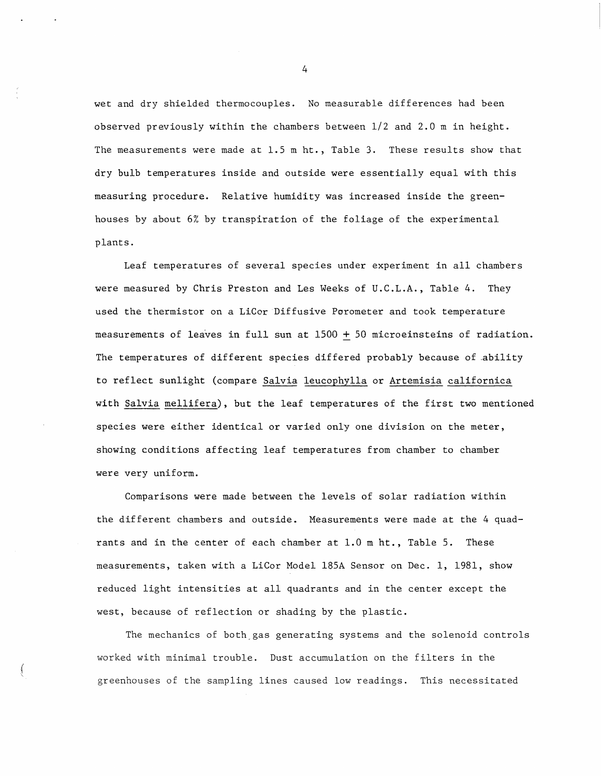wet and dry shielded thermocouples. No measurable differences had been observed previously within the chambers between  $1/2$  and 2.0 m in height. The measurements were made at 1.5 m ht., Table 3. These results show that dry bulb temperatures inside and outside were essentially equal with this measuring procedure. Relative humidity was increased inside the greenhouses by about 6% by transpiration of the foliage of the experimental plants.

Leaf temperatures of several species under experiment in all chambers were measured by Chris Preston and Les Weeks of U.C.L.A., Table 4. They used the thermistor on a LiCor Diffusive Porometer and took temperature measurements of leaves in full sun at  $1500 + 50$  microeinsteins of radiation. The temperatures of different species differed probably because of .ability to reflect sunlight (compare Salvia leucophylla or Artemisia californica with Salvia mellifera), but the leaf temperatures of the first two mentioned species were either identical or varied only one division on the meter, showing conditions affecting leaf temperatures from chamber to chamber were very uniform.

Comparisons were made between the levels of solar radiation within the different chambers and outside. Measurements were made at the 4 quadrants and in the center of each chamber at 1.0 m ht., Table 5. These measurements, taken with a LiCor Model 185A Sensor on Dec. 1, 1981, show reduced light intensities at all quadrants and in the center except the west, because of reflection or shading by the plastic.

The mechanics of both gas generating systems and the solenoid controls worked with minimal trouble. Dust accumulation on the filters in the greenhouses of the sampling lines caused low readings. This necessitated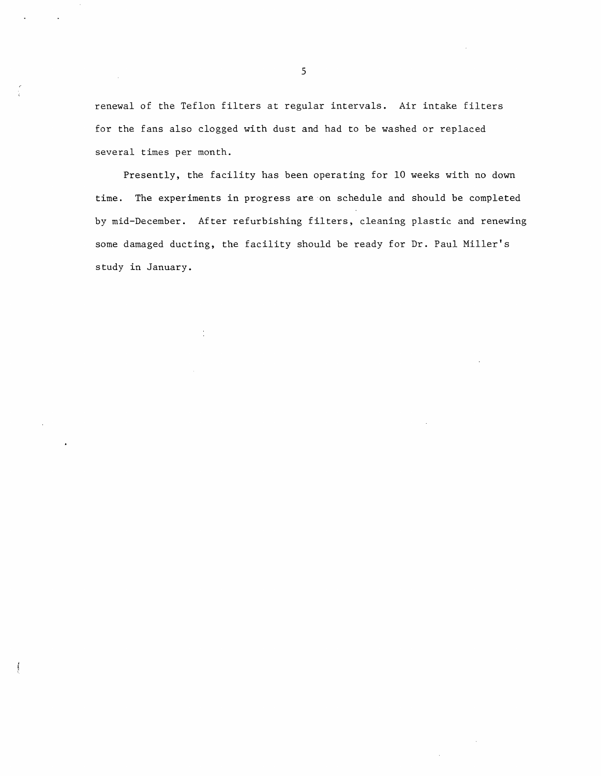renewal of the Teflon filters at regular intervals. Air intake filters for the fans also clogged with dust and had to be washed or replaced several times per month.

Presently, the facility has been operating for 10 weeks with no down time. The experiments in progress are on schedule and should be completed by mid-December. After refurbishing filters, cleaning plastic and renewing some damaged ducting, the facility should be ready for Dr. Paul Miller's study in January.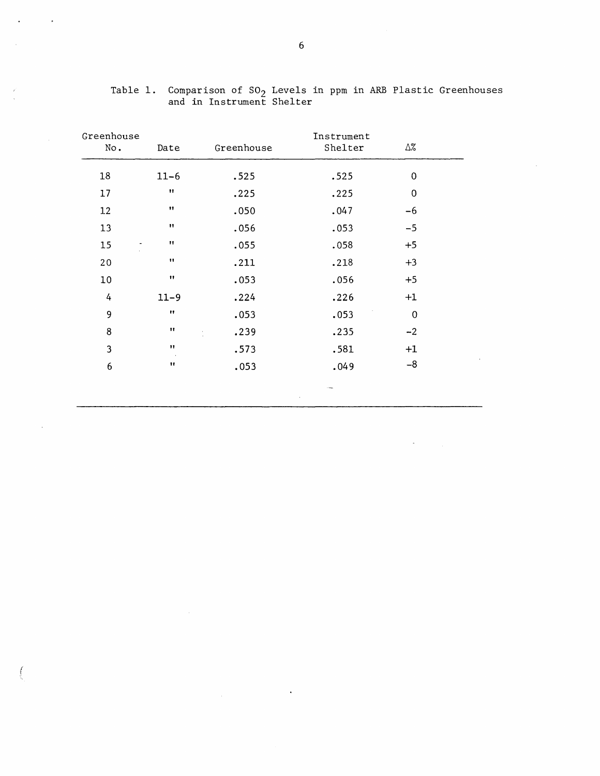| Greenhouse<br>No.    | Date                 | Greenhouse | Instrument<br>Shelter | Δ%          |  |
|----------------------|----------------------|------------|-----------------------|-------------|--|
| 18                   | $11 - 6$             | .525       | .525                  | $\mathbf 0$ |  |
| 17                   | $\pmb{\mathfrak{m}}$ | .225       | .225                  | $\pmb{0}$   |  |
| 12                   | .,                   | .050       | .047                  | $-6$        |  |
| 13                   | Ħ                    | .056       | .053                  | $-5$        |  |
| 15<br>$\blacksquare$ | 11                   | .055       | .058                  | $+5$        |  |
| 20                   | 11                   | .211       | .218                  | $+3$        |  |
| 10                   | $\pmb{\mathsf{H}}$   | .053       | .056                  | $+5$        |  |
| 4                    | $11 - 9$             | .224       | .226                  | $+1$        |  |
| 9                    | $\pmb{\mathsf{H}}$   | .053       | .053                  | $\mathbf 0$ |  |
| 8                    | $\mathbf{H}$         | .239       | .235                  | $-2$        |  |
| 3                    | $\mathbf{H}$         | .573       | .581                  | $+1$        |  |
| $\boldsymbol{6}$     | $^{\dagger}$         | .053       | .049                  | $-8$        |  |
|                      |                      |            | - Ima                 |             |  |

 $\sim 10^7$ 

Table 1. Comparison of  $SO_2$  Levels in ppm in ARB and in Instrument Shelter Plastic Greenhouses

 $\bar{z}$ 

 $\bar{z}$ 

 $\sim$ 

 $\ddot{\phantom{1}}$ 

 $\vec{r}$  $\frac{1}{2}$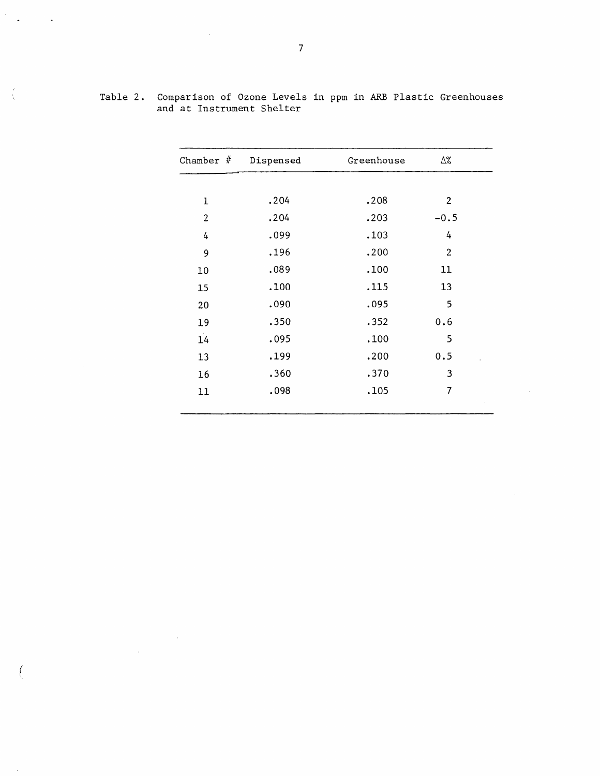| Chamber $#$    | Dispensed | Greenhouse | Δ%             |  |
|----------------|-----------|------------|----------------|--|
|                |           |            |                |  |
| 1              | .204      | .208       | $\overline{2}$ |  |
| $\overline{2}$ | .204      | .203       | $-0.5$         |  |
| 4              | .099      | .103       | 4              |  |
| 9              | .196      | .200       | $\mathbf{2}$   |  |
| 10             | .089      | .100       | 11             |  |
| 15             | .100      | .115       | 13             |  |
| 20             | .090      | .095       | 5              |  |
| 19             | .350      | .352       | 0.6            |  |
| 14             | .095      | .100       | 5              |  |
| 13             | .199      | .200       | 0.5            |  |
| 16             | .360      | .370       | 3              |  |
| 11             | .098      | .105       | $\overline{7}$ |  |
|                |           |            |                |  |

Table 2. Comparison of Ozone Levels in ppm in ARB Plastic Greenhouses and at Instrument Shelter

J.

 $\sim 10^7$ 

 $\sim$ 

 $\frac{1}{2} \frac{1}{2}$ 

 $\frac{\epsilon}{\lambda}$ 

 $\int$ 

 $\sim$   $\sim$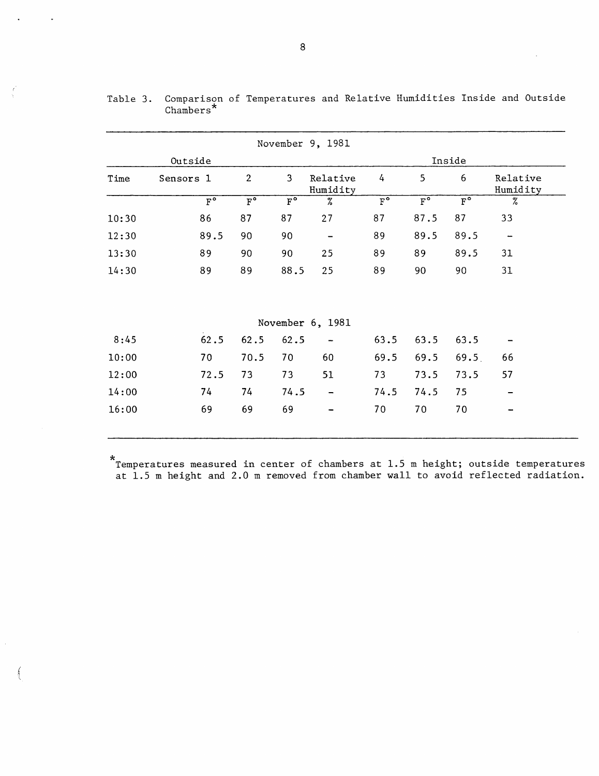|       |                        |                        |                        | November 9, 1981             |                        |                                 |                        |                          |
|-------|------------------------|------------------------|------------------------|------------------------------|------------------------|---------------------------------|------------------------|--------------------------|
|       | Outside                |                        | Inside                 |                              |                        |                                 |                        |                          |
| Time  | Sensors 1              | $\overline{2}$         | $\overline{3}$         | Relative<br>Humidity         | 4                      | 5                               | 6                      | Relative<br>Humidity     |
|       | $\overline{F}^{\circ}$ | $\overline{F}^{\circ}$ | $\overline{F}^{\circ}$ | $\%$                         | $\overline{F}^{\circ}$ | $\overline{\mathbf{F}^{\circ}}$ | $\overline{F}^{\circ}$ | $\%$                     |
| 10:30 | 86                     | 87                     | 87                     | 27                           | 87                     | 87.5                            | 87                     | 33                       |
| 12:30 | 89.5                   | 90                     | 90                     | $\overline{\phantom{m}}$     | 89                     | 89.5                            | 89.5                   | $\overline{\phantom{a}}$ |
| 13:30 | 89                     | 90                     | 90                     | 25                           | 89                     | 89                              | 89.5                   | 31                       |
| 14:30 | 89                     | 89                     | 88.5                   | 25                           | 89                     | 90                              | 90                     | 31                       |
|       |                        |                        |                        |                              |                        |                                 |                        |                          |
|       |                        |                        |                        | November 6, 1981             |                        |                                 |                        |                          |
| 8:45  | 62.5                   | 62.5                   | 62.5                   |                              | 63.5                   | 63.5                            | 63.5                   |                          |
| 10:00 | 70                     | 70.5                   | 70                     | 60                           | 69.5                   | 69.5                            | 69.5                   | 66                       |
| 12:00 | 72.5                   | 73                     | 73                     | 51                           | 73                     | 73.5                            | 73.5                   | 57                       |
| 14:00 | 74                     | 74                     | 74.5                   | $\qquad \qquad \blacksquare$ | 74.5                   | 74.5                            | 75                     |                          |
| 16:00 | 69                     | 69                     | 69                     |                              | 70                     | 70                              | 70                     |                          |

|          | Table 3. Comparison of Temperatures and Relative Humidities Inside and Outside |  |  |  |
|----------|--------------------------------------------------------------------------------|--|--|--|
| Chambers |                                                                                |  |  |  |

\*Temperatures measured in center of chambers at 1.5 m height; outside temperatures at 1.5 m height and 2.0 m removed from chamber wall to avoid reflected radiation.

 $\int$ 

 $\frac{\ell}{2}$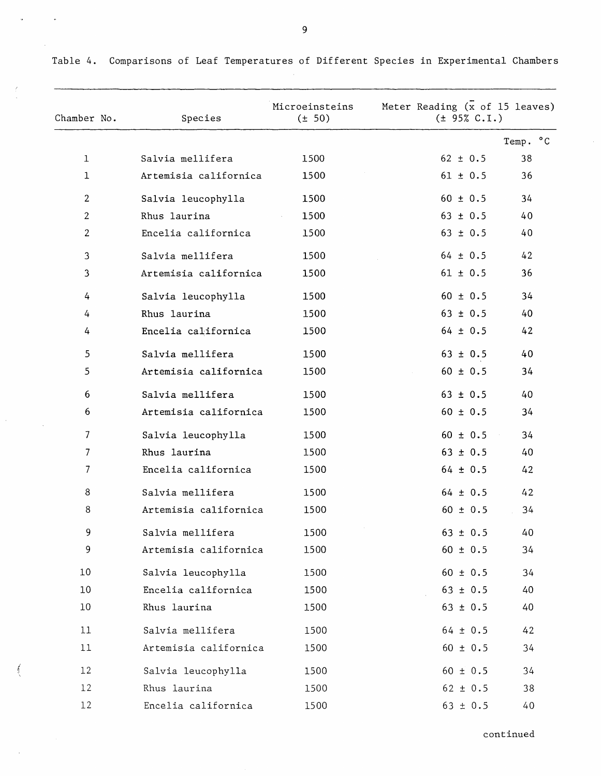| Chamber No.              | Species               | Microeinsteins<br>$(\pm 50)$ | Meter Reading $(x \text{ of } 15 \text{ leaves})$<br>(± 95% C.I.) |          |
|--------------------------|-----------------------|------------------------------|-------------------------------------------------------------------|----------|
|                          |                       |                              |                                                                   | Temp. °C |
| $\mathbf 1$              | Salvia mellifera      | 1500                         | $62 \pm 0.5$                                                      | 38       |
| 1                        | Artemisia californica | 1500                         | $61 \pm 0.5$                                                      | 36       |
| $\overline{2}$           | Salvia leucophylla    | 1500                         | $60 \pm 0.5$                                                      | 34       |
| $\overline{2}$           | Rhus laurina          | 1500                         | $63 \pm 0.5$                                                      | 40       |
| 2                        | Encelia californica   | 1500                         | $63 \pm 0.5$                                                      | 40       |
| 3                        | Salvia mellifera      | 1500                         | $64 \pm 0.5$                                                      | 42       |
| 3                        | Artemisia californica | 1500                         | $61 \pm 0.5$                                                      | 36       |
| 4                        | Salvia leucophylla    | 1500                         | $60 \pm 0.5$                                                      | 34       |
| 4                        | Rhus laurina          | 1500                         | $63 \pm 0.5$                                                      | 40       |
| 4                        | Encelia californica   | 1500                         | $64 \pm 0.5$                                                      | 42       |
| 5                        | Salvia mellifera      | 1500                         | $63 \pm 0.5$                                                      | 40       |
| 5                        | Artemisia californica | 1500                         | $60 \pm 0.5$                                                      | 34       |
| 6                        | Salvia mellifera      | 1500                         | $63 \pm 0.5$                                                      | 40       |
| 6                        | Artemisia californica | 1500                         | $60 \pm 0.5$                                                      | 34       |
| $\overline{\phantom{a}}$ | Salvia leucophylla    | 1500                         | $60 \pm 0.5$                                                      | 34       |
| 7                        | Rhus laurina          | 1500                         | $63 \pm 0.5$                                                      | 40       |
| 7                        | Encelia californica   | 1500                         | $64 \pm 0.5$                                                      | 42       |
| 8                        | Salvia mellifera      | 1500                         | $64 \pm 0.5$                                                      | 42       |
| 8                        | Artemisia californica | 1500                         | $60 \pm 0.5$                                                      | 34       |
| 9                        | Salvia mellifera      | 1500                         | $63 \pm 0.5$                                                      | 40       |
| 9                        | Artemisia californica | 1500                         | $60 \pm 0.5$                                                      | 34       |
| 10                       | Salvia leucophylla    | 1500                         | $60 \pm 0.5$                                                      | 34       |
| 10                       | Encelia californica   | 1500                         | $63 \pm 0.5$                                                      | 40       |
| 10                       | Rhus laurina          | 1500                         | $63 \pm 0.5$                                                      | 40       |
| 11                       | Salvia mellifera      | 1500                         | $64 \pm 0.5$                                                      | 42       |
| 11                       | Artemisia californica | 1500                         | $60 \pm 0.5$                                                      | 34       |
| 12                       | Salvia leucophylla    | 1500                         | $60 \pm 0.5$                                                      | 34       |
| 12                       | Rhus laurina          | 1500                         | $62 \pm 0.5$                                                      | 38       |
| 12                       | Encelia californica   | 1500                         | $63 \pm 0.5$                                                      | 40       |

Table 4. Comparisons of Leaf Temperatures of Different Species in Experimental Chambers

9

 $\bar{\phi}$ 

 $\bar{f}$ 

 $\gamma$ 

 $\epsilon$ 

 $\hat{\mathcal{A}}$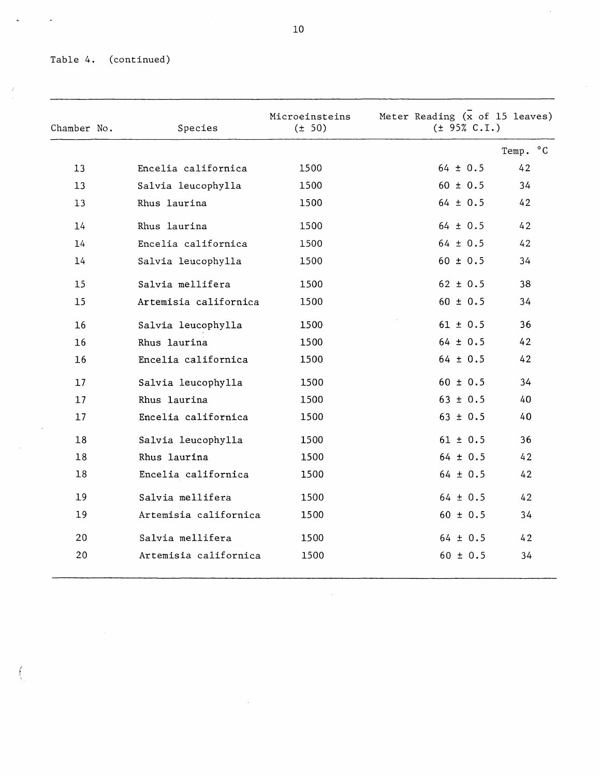# Table 4. (continued)

 $\ddot{\phantom{a}}$ 

 $\frac{Z}{\epsilon}$ 

 $\ddot{\phantom{0}}$ 

| Chamber No. | Species               | Microeinsteins<br>$(\pm 50)$ | Meter Reading (x of 15 leaves)<br>(± 95% C.I.) |          |
|-------------|-----------------------|------------------------------|------------------------------------------------|----------|
|             |                       |                              |                                                | Temp. °C |
| 13          | Encelia californica   | 1500                         | $64 \pm 0.5$                                   | 42       |
| 13          | Salvia leucophylla    | 1500                         | $60 \pm 0.5$                                   | 34       |
| 13          | Rhus laurina          | 1500                         | $64 \pm 0.5$                                   | 42       |
| 14          | Rhus laurina          | 1500                         | $64 \pm 0.5$                                   | 42       |
| 14          | Encelia californica   | 1500                         | $64 \pm 0.5$                                   | 42       |
| 14          | Salvia leucophylla    | 1500                         | $60 \pm 0.5$                                   | 34       |
| 15          | Salvia mellifera      | 1500                         | $62 \pm 0.5$                                   | 38       |
| 15          | Artemisia californica | 1500                         | $60 \pm 0.5$                                   | 34       |
| 16          | Salvia leucophylla    | 1500                         | $61 \pm 0.5$                                   | 36       |
| 16          | Rhus laurina          | 1500                         | $64 \pm 0.5$                                   | 42       |
| 16          | Encelia californica   | 1500                         | $64 \pm 0.5$                                   | 42       |
| 17          | Salvia leucophylla    | 1500                         | $60 \pm 0.5$                                   | 34       |
| 17          | Rhus laurina          | 1500                         | $63 \pm 0.5$                                   | 40       |
| 17          | Encelia californica   | 1500                         | $63 \pm 0.5$                                   | 40       |
| 18          | Salvia leucophylla    | 1500                         | $61 \pm 0.5$                                   | 36       |
| 18          | Rhus laurina          | 1500                         | $64 \pm 0.5$                                   | 42       |
| 18          | Encelia californica   | 1500                         | $64 \pm 0.5$                                   | 42       |
| 19          | Salvia mellifera      | 1500                         | $64 \pm 0.5$                                   | 42       |
| 19          | Artemisia californica | 1500                         | $60 \pm 0.5$                                   | 34       |
| 20          | Salvia mellifera      | 1500                         | $64 \pm 0.5$                                   | 42       |
| 20          | Artemisia californica | 1500                         | $60 \pm 0.5$                                   | 34       |

 $\sim 10$ 

 $\mathcal{A}$ 

 $\hat{\boldsymbol{\cdot}$ 

 $\hat{\mathcal{A}}$ 

 $\int_0^t$ 

 $\bar{z}$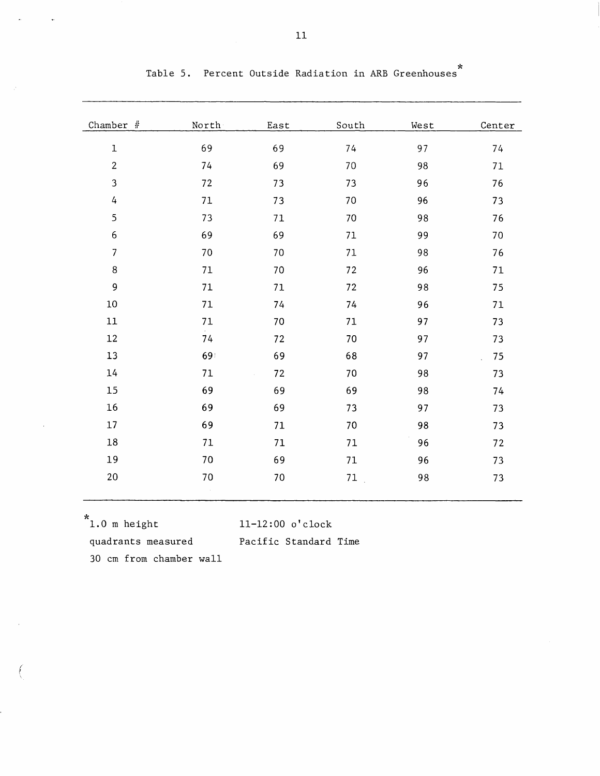| Chamber $#$      | North        | East   | South  | West | Center |
|------------------|--------------|--------|--------|------|--------|
| $\mathbf 1$      | 69           | 69     | 74     | 97   | 74     |
| $\overline{2}$   | 74           | 69     | 70     | 98   | 71     |
| 3                | 72           | 73     | 73     | 96   | 76     |
| $\overline{4}$   | 71           | 73     | 70     | 96   | 73     |
| 5                | 73           | 71     | 70     | 98   | 76     |
| $\boldsymbol{6}$ | 69           | 69     | $71\,$ | 99   | 70     |
| $\overline{7}$   | 70           | 70     | 71     | 98   | 76     |
| $\bf 8$          | 71           | 70     | 72     | 96   | 71     |
| 9                | 71           | 71     | $72\,$ | 98   | 75     |
| $10\,$           | 71           | 74     | 74     | 96   | 71     |
| $11\,$           | 71           | 70     | 71     | 97   | 73     |
| 12               | 74           | 72     | 70     | 97   | 73     |
| 13               | 69           | 69     | 68     | 97   | 75     |
| 14               | 71           | $72\,$ | 70     | 98   | 73     |
| 15               | 69           | 69     | 69     | 98   | 74     |
| 16               | 69           | 69     | 73     | 97   | 73     |
| 17               | 69           | 71     | $70\,$ | 98   | 73     |
| $18\,$           | $71\,$       | 71     | 71     | 96   | $72\,$ |
| 19               | 70           | 69     | 71     | 96   | 73     |
| $20\,$           | 70<br>$\sim$ | 70     | 71     | 98   | $73\,$ |
|                  |              |        |        |      |        |

Table 5. Percent Outside Radiation in ARB Greenhouses\*

f \

 $*$ 1.0 m height 11-12:00 o'clock

quadrants measured Pacific Standard Time

30 cm from chamber wall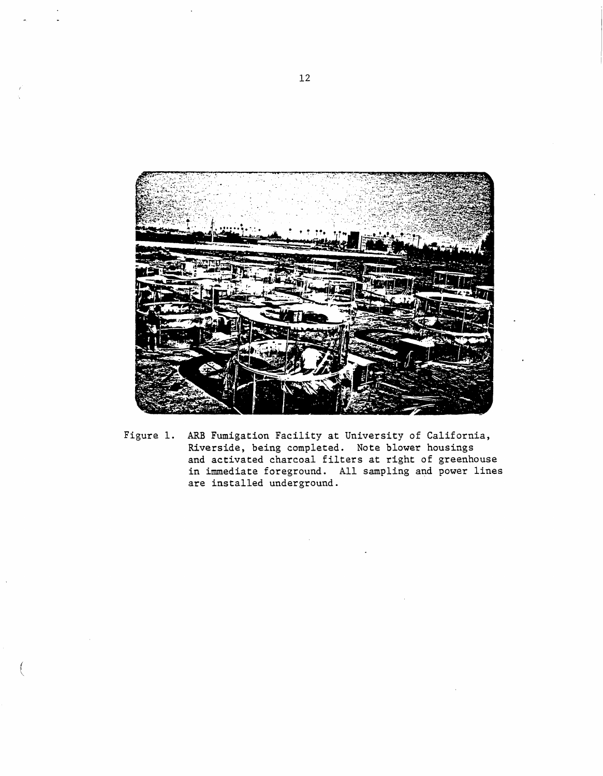

Figure 1. ARB Fumigation Facility at University of California, Riverside, being completed. Note blower housings and activated charcoal filters at right of greenhouse in immediate foreground. All sampling and power lines are installed underground.